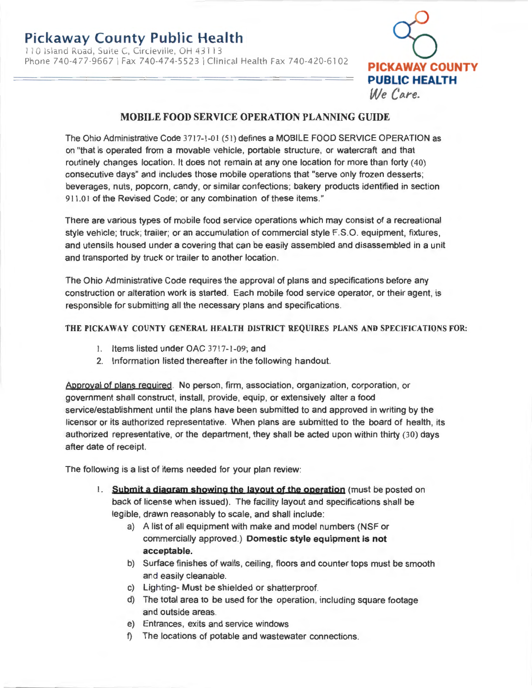110 Island Road, Suite C, Circleville, OH 43113 Phone 740-477-9667 I Fax 740-474-5523 I Clinical Health Fax 740-420-6102 **PICKAWAY COUNTY** 



## **MOBILE FOOD SERVICE OPERATION PLANNING GUIDE**

The Ohio Administrative Code 3717-1-01 (5 1) defines a MOBILE FOOD SERVICE OPERATION as on "that is operated from a movable vehicle, portable structure, or watercraft and that routinely changes location. It does not remain at any one location for more than forty (40) consecutive days" and includes those mobile operations that "serve only frozen desserts; beverages, nuts, popcorn, candy, or similar confections; bakery products identified in section 911.01 of the Revised Code; or any combination of these items."

There are various types of mobile food service operations which may consist of a recreational style vehicle; truck; trailer; or an accumulation of commercial style F.S.O. equipment, fixtures , and utensils housed under a covering that can be easily assembled and disassembled in a unit and transported by truck or trailer to another location.

The Ohio Administrative Code requires the approval of plans and specifications before any construction or alteration work is started. Each mobile food service operator, or their agent, is responsible for submitting all the necessary plans and specifications.

## THE PICKAWAY COUNTY GENERAL HEALTH DISTRICT REQUIRES PLANS AND SPECIFICATIONS FOR:

- I. Items listed under OAC 3717-1-09; and
- 2. Information listed thereafter in the following handout.

Approval of plans required . No person, firm, association, organization, corporation , or government shall construct, install, provide, equip, or extensively alter a food service/establishment until the plans have been submitted to and approved in writing by the licensor or its authorized representative. When plans are submitted to the board of health, its authorized representative, or the department, they shall be acted upon within thirty (30) days after date of receipt.

The following is a list of items needed for your plan review:

- 1. **Sybmjt a djagram showjnq the layout of the operatjon** (must be posted on back of license when issued). The facility layout and specifications shall be legible, drawn reasonably to scale, and shall include:
	- a) A list of all equipment with make and model numbers (NSF or commercially approved.) **Domestic style equipment is not acceptable.**
	- b) Surface finishes of walls, ceiling, floors and counter tops must be smooth and easily cleanable.
	- c) Lighting- Must be shielded or shatterproof.
	- d) The total area to be used for the operation, including square footage and outside areas.
	- e) Entrances, exits and service windows
	- f) The locations of potable and wastewater connections.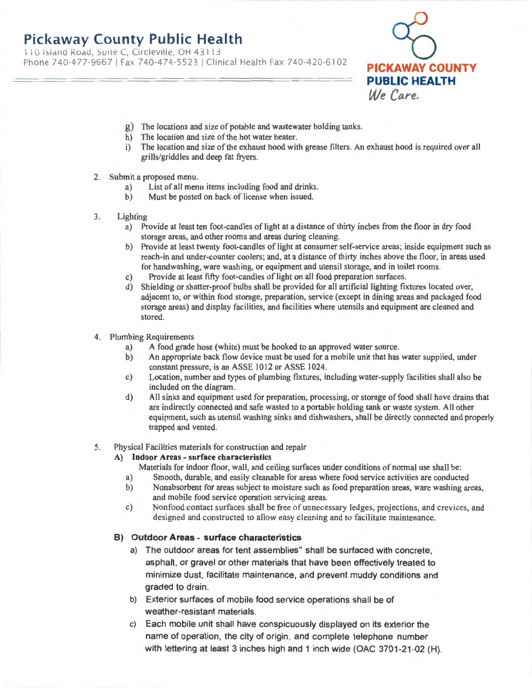110 Island Road, Suite C, Circleville, OH 43113 Phone 740-477-9667 I Fax 740-474-5523 I Clinical Health Fax 740-420-6102



- g) The locations and size of potable and wastewater holding tanks.
- h) The location and size of the hot water heater.
- i) The location and size of the exhaust hood with grease filters. An exhaust hood is required over all grills/griddles and deep fat fryers.
- 2. Submit a proposed menu.
	- a) List of all menu items including food and drinks.
	- b) Must be posted on back of license when issued.
- 3. Lighting
	- a) Provide at least ten foot-candles of light at a distance of thirty inches from the floor in dry food storage areas, and other rooms and areas during cleaning.
	- b) Provide at least twenty foot-candles of light at consumer self-service areas; inside equipment such as reach-in and under-counter coolers; and, at a distance of thirty inches above the floor, in areas used for handwashing, ware washing, or equipment and utensil storage, and in toilet rooms.
	- c) Provide at least fifty foot-candles of light on all food preparation surfaces.
	- d) Shielding or shatter-proof bulbs shall be provided for all artificial lighting fixtures located over, adjacent to, or within food storage, preparation, service (except in dining areas and packaged food storage areas) and display facilities, and facilities where utensils and equipment are cleaned and stored.
- 4. Plumbing Requirements
	- a) A food grade hose (white) must be hooked to an approved water source.
	- b) An appropriate back flow device must be used for a mobile unit that has water supplied, under constant pressure, is an ASSE 1012 or ASSE 1024.
	- c) Location, number and types of plumbing fixtures, including water-supply facilities shall also be included on the diagram.
	- d) All sinks and equipment used for preparation, processing, or storage of food shall have drains that are indirectly connected and safe wasted to a portable holding tank or waste system. All other equipment, such as utensil washing sinks and dishwashers, shall be directly connected and properly trapped and vented.

### 5. Physical Facilities materials for construction and repair

### **A) Indoor Areas** - **surface characteristics**

- Materials for indoor floor, wall, and ceiling surfaces under conditions of normal use shall be:
- a) Smooth, durable, and easily cleanable for areas where food service activities are conducted
- b) Nonabsorbent for areas subject to moisture such as food preparation areas, ware washing areas, and mobile food service operation servicing areas.
- c) Nonfood contact surfaces shall be free of unnecessary ledges, projections, and crevices, and designed and constructed to allow easy cleaning and to facilitate maintenance.

### **B) Outdoor Areas - surface characteristics**

- a) The outdoor areas for tent assemblies" shall be surfaced with concrete, asphalt, or gravel or other materials that have been effectively treated to minimize dust, facilitate maintenance, and prevent muddy conditions and graded to drain.
- b) Exterior surfaces of mobile food service operations shall be of weather-resistant materials.
- c) Each mobile unit shall have conspicuously displayed on its exterior the name of operation, the city of origin, and complete telephone number with lettering at least 3 inches high and 1 inch wide (OAC 3701-21-02 (H).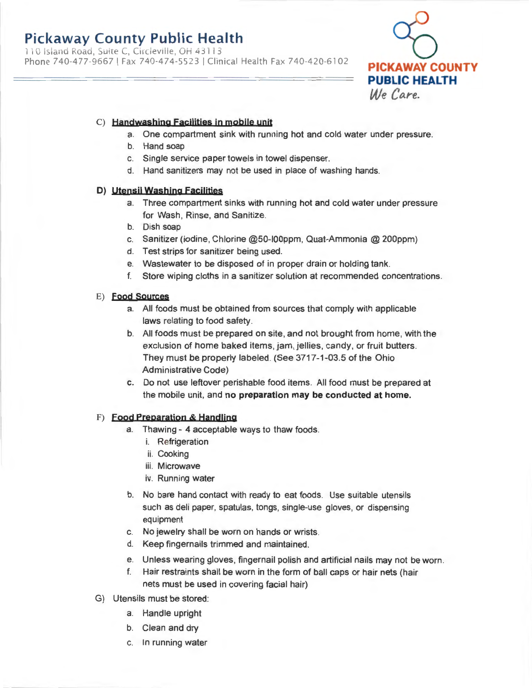110 Island Road, Suite C, Circleville, OH 43113 Phone 740-477-9667 I Fax 740-474-5523 I Clinical Health Fax 740-420-6102



## C) **Handwashjnq facilities in mobile unit**

- a. One compartment sink with running hot and cold water under pressure.
- b. Hand soap
- c. Single service paper towels in towel dispenser.
- d. Hand sanitizers may not be used in place of washing hands.

### **D) utensil Washing facilities**

- a. Three compartment sinks with running hot and cold water under pressure for Wash, Rinse, and Sanitize.
- b. Dish soap
- c. Sanitizer (iodine, Chlorine @50-I00ppm, Quat-Ammonia @ 200ppm)
- d. Test strips for sanitizer being used.
- e. Wastewater to be disposed of in proper drain or holding tank.
- f. Store wiping cloths in a sanitizer solution at recommended concentrations.

### E) **food sources**

- a. All foods must be obtained from sources that comply with applicable laws relating to food safety.
- b. All foods must be prepared on site, and not brought from home, with the exclusion of home baked items, jam, jellies, candy, or fruit butters. They must be properly labeled. (See 3717-1-03.5 of the Ohio Administrative Code)
- **c.** Do not use leftover perishable food items. All food must be prepared at the mobile unit, and **no preparation may be conducted at home.**

### F) **food Preparation & Handling**

- a. Thawing 4 acceptable ways to thaw foods.
	- i. Refrigeration
	- ii. Cooking
	- iii. Microwave
	- iv. Running water
- b. No bare hand contact with ready to eat foods. Use suitable utensils such as deli paper, spatulas, tongs, single-use gloves, or dispensing equipment
- c. No jewelry shall be worn on hands or wrists.
- d. Keep fingernails trimmed and maintained.
- e. Unless wearing gloves, fingernail polish and artificial nails may not be worn.
- f. Hair restraints shall be worn in the form of ball caps or hair nets (hair nets must be used in covering facial hair)
- G) Utensils must be stored:
	- a. Handle upright
	- b. Clean and dry
	- c. In running water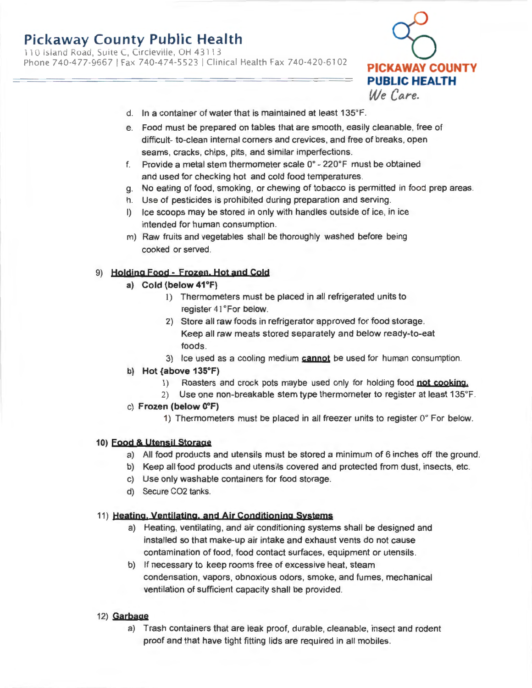11 0 Island Road, Suite C, Circleville, OH 4311 3 Phone 740-477-9667 I Fax 740-474-5523 I Clinical Health Fax 740-420-6102



- d. In a container of water that is maintained at least 135°F.
- e. Food must be prepared on tables that are smooth, easily cleanable, free of difficult- to-clean internal corners and crevices, and free of breaks, open seams, cracks, chips, pits, and similar imperfections.
- f. Provide a metal stem thermometer scale 0° 220°F must be obtained and used for checking hot and cold food temperatures.
- g. No eating of food, smoking, or chewing of tobacco is permitted in food prep areas.
- h. Use of pesticides is prohibited during preparation and serving.
- I) Ice scoops may be stored in only with handles outside of ice, in ice intended for human consumption.
- m) Raw fruits and vegetables shall be thoroughly washed before being cooked or served.

### 9) **Holding Food - Frozen, Hot and Cold**

- **a) Cold (below 41°F)** 
	- I) Thermometers must be placed in all refrigerated units to register 41°For below.
	- 2) Store all raw foods in refrigerator approved for food storage. Keep all raw meats stored separately and below ready-to-eat foods .
	- 3) Ice used as a cooling medium **cannot** be used for human consumption.

### **b) Hot {above 135°F)**

- I) Roasters and crock pots maybe used only for holding food **not cookjng.**
- 2) Use one non-breakable stem type thermometer to register at least 135°F.
- c) **Frozen (below 0°F)** 
	- 1) Thermometers must be placed in all freezer units to register 0° For below.

### **10) Food & Utensil storage**

- a) All food products and utensils must be stored a minimum of 6 inches off the ground.
- b) Keep all food products and utensils covered and protected from dust, insects, etc.
- c) Use only washable containers for food storage.
- d) Secure CO2 tanks.

### 11) **Heatjng. Yentjlatjng. and Air condjtjonjng Systems**

- a) Heating, ventilating, and air conditioning systems shall be designed and installed so that make-up air intake and exhaust vents do not cause contamination of food, food contact surfaces, equipment or utensils.
- b) If necessary to keep rooms free of excessive heat, steam condensation, vapors, obnoxious odors, smoke, and fumes, mechanical ventilation of sufficient capacity shall be provided.

### 12) **Garbage**

a) Trash containers that are leak proof, durable, cleanable, insect and rodent proof and that have tight fitting lids are required in all mobiles.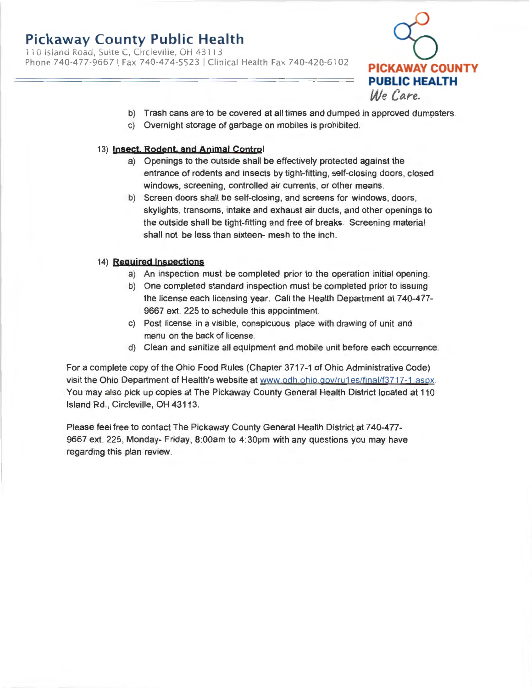11 0 Island Road, Suite C, Circleville, OH 4311 3 Phone 740-477-9667 I Fax 740-474-5523 I Clinical Health Fax 740-420-6102 **PICKAWAY COUNTY** 



- b) Trash cans are to be covered at all times and dumped in approved dumpsters.
- c) Overnight storage of garbage on mobiles is prohibited.

### 13) **Insect, Rodent, and Animal control**

- a) Openings to the outside shall be effectively protected against the entrance of rodents and insects by tight-fitting, self-closing doors, closed windows, screening, controlled air currents, or other means.
- b) Screen doors shall be self-closing, and screens for windows, doors, skylights, transoms, intake and exhaust air ducts, and other openings to the outside shall be tight-fitting and free of breaks. Screening material shall not be less than sixteen- mesh to the inch.

### 14) **Required Inspections**

- a) An inspection must be completed prior to the operation initial opening.
- b) One completed standard inspection must be completed prior to issuing the license each licensing year. Call the Health Department at 740-477- 9667 ext. 225 to schedule this appointment.
- c) Post license in a visible, conspicuous place with drawing of unit and menu on the back of license.
- d) Clean and sanitize all equipment and mobile unit before each occurrence.

For a complete copy of the Ohio Food Rules (Chapter 3717-1 of Ohio Administrative Code) visit the Ohio Department of Health's website at www.odh.ohio.gov/ru1es/final/f3717-1.aspx. You may also pick up copies at The Pickaway County General Health District located at 110 Island Rd., Circleville, OH 43113.

Please feel free to contact The Pickaway County General Health District at 740-477- 9667 ext. 225, Monday- Friday, 8:00am to 4:30pm with any questions you may have regarding this plan review.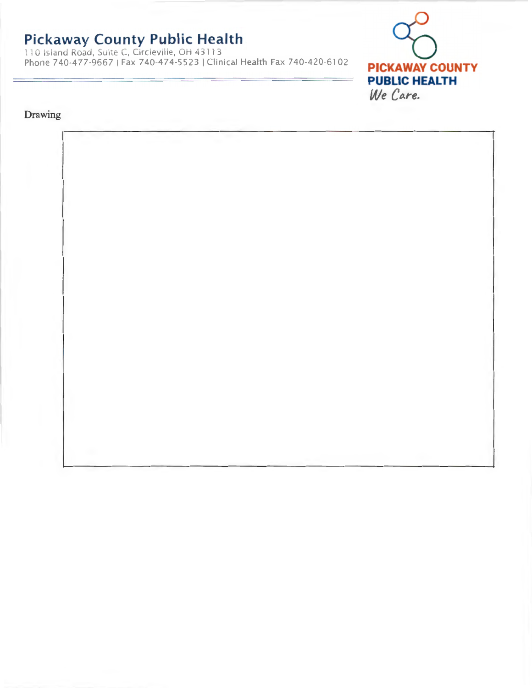11 0 Island Road, Suite C, Circleville, OH 4311 3 Phone 740-477-9667 I Fax 740-474-5523 I Clinical Health Fax 740-420-6102



## Drawing

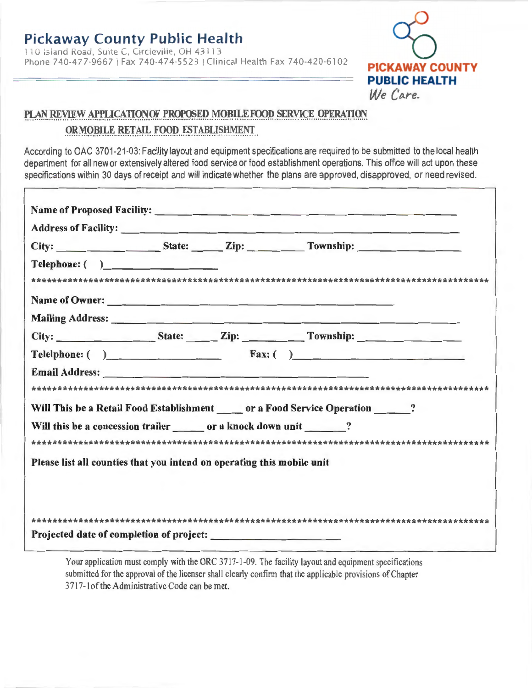110 Island Road, Suite C, Circleville, OH 43113 Phone 740-477-9667 I Fax 740-474-5523 I Clinical Health Fax 740-420-6102



# PLAN REVIEW APPLICATIONOF PROPOSED MOBILE FOOD SERVICE OPERATION **OR MOBILE RETAIL FOOD ESTABLISHMENT**

According to OAC 3701-21-03: Facility layout and equipment specifications are required to be submitted to the local health department for all new or extensively altered food service or food establishment operations. This office will act upon these specifications within 30 days of receipt and will indicate whether the plans are approved, disapproved, or need revised.

|                                                                                                                                    |  | City: State: Zip: Township:                                                          |
|------------------------------------------------------------------------------------------------------------------------------------|--|--------------------------------------------------------------------------------------|
| Telephone: ( )                                                                                                                     |  |                                                                                      |
|                                                                                                                                    |  |                                                                                      |
|                                                                                                                                    |  | Name of Owner:                                                                       |
|                                                                                                                                    |  |                                                                                      |
|                                                                                                                                    |  | City: State: Zip: Township: The City:                                                |
|                                                                                                                                    |  | Telelphone: ( ) Fax: ( )                                                             |
|                                                                                                                                    |  |                                                                                      |
|                                                                                                                                    |  |                                                                                      |
|                                                                                                                                    |  |                                                                                      |
|                                                                                                                                    |  | Will This be a Retail Food Establishment ______ or a Food Service Operation _______? |
|                                                                                                                                    |  |                                                                                      |
|                                                                                                                                    |  |                                                                                      |
| Will this be a concession trailer or a knock down unit ?<br>Please list all counties that you intend on operating this mobile unit |  |                                                                                      |
|                                                                                                                                    |  |                                                                                      |

Your application must comply with the ORC 3717-1-09. The facility layout and equipment specifications submitted for the approval of the licenser shall clearly confirm that the applicable provisions of Chapter 3717-1 of the Administrative Code can be met.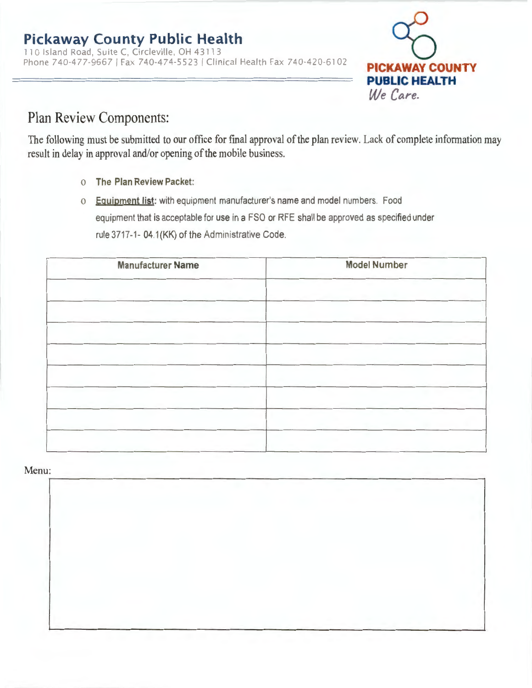110 Island Road, Suite C, Circleville, OH 43113 Phone 740-477-9667 I Fax 740-474-5523 I Clinical Health Fax 740-420-6102 **PICKAWAY COUNTY** 



# Plan Review Components:

The following must be submitted to our office for final approval of the plan review. Lack of complete information may result in delay in approval and/or opening of the mobile business.

- o **The Plan Review Packet:**
- o **Equipment list:** with equipment manufacturer's name and model numbers. Food equipment that is acceptable for use in a FSO or RFE shall be approved as specified under rule 3717-1- 04.1 (KK) of the Administrative Code.

| <b>Manufacturer Name</b> | <b>Model Number</b> |
|--------------------------|---------------------|
|                          |                     |
|                          |                     |
|                          |                     |
|                          |                     |
|                          |                     |
|                          |                     |
|                          |                     |
|                          |                     |
|                          |                     |

# Menu: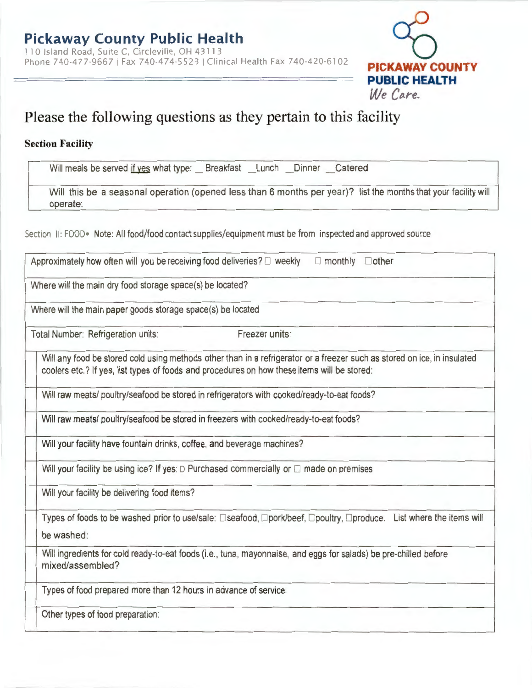

# **Please the following questions as they pertain to this facility**

# **Section Facility**

Will meals be served if yes what type: Breakfast Lunch Dinner Catered

Will this be a seasonal operation (opened less than 6 months per year)? list the months that your facility will operate:

Section II: FOOD • Note: All food/food contact supplies/equipment must be from inspected and approved source

| Approximately how often will you be receiving food deliveries? <b>E</b> weekly<br>$\Box$ monthly $\Box$ other                                                                                                           |  |  |  |
|-------------------------------------------------------------------------------------------------------------------------------------------------------------------------------------------------------------------------|--|--|--|
| Where will the main dry food storage space(s) be located?                                                                                                                                                               |  |  |  |
| Where will the main paper goods storage space(s) be located                                                                                                                                                             |  |  |  |
| Freezer units:<br>Total Number: Refrigeration units:                                                                                                                                                                    |  |  |  |
| Will any food be stored cold using methods other than in a refrigerator or a freezer such as stored on ice, in insulated<br>coolers etc.? If yes, list types of foods and procedures on how these items will be stored: |  |  |  |
| Will raw meats/ poultry/seafood be stored in refrigerators with cooked/ready-to-eat foods?                                                                                                                              |  |  |  |
| Will raw meats/ poultry/seafood be stored in freezers with cooked/ready-to-eat foods?                                                                                                                                   |  |  |  |
| Will your facility have fountain drinks, coffee, and beverage machines?                                                                                                                                                 |  |  |  |
| Will your facility be using ice? If yes: $D$ Purchased commercially or $D$ made on premises                                                                                                                             |  |  |  |
| Will your facility be delivering food items?                                                                                                                                                                            |  |  |  |
| Types of foods to be washed prior to use/sale: □seafood, □pork/beef, □poultry, □produce. List where the items will<br>be washed:                                                                                        |  |  |  |
| Will ingredients for cold ready-to-eat foods (i.e., tuna, mayonnaise, and eggs for salads) be pre-chilled before<br>mixed/assembled?                                                                                    |  |  |  |
| Types of food prepared more than 12 hours in advance of service:                                                                                                                                                        |  |  |  |
| Other types of food preparation:                                                                                                                                                                                        |  |  |  |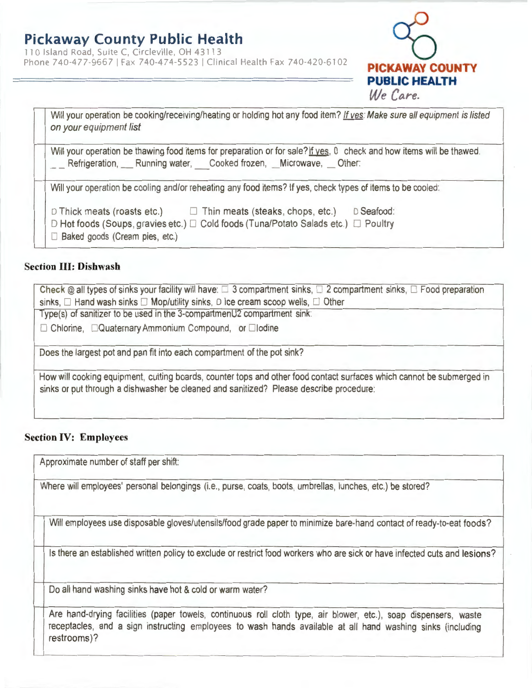110 Island Road, Suite C, Circleville, OH 43113 Phone 740-477-9667 | Fax 740-474-5523 | Clinical Health Fax 740-420-6102 **PICKAWAY COUNT** 

| We Lare.                                                                                                                                                                                                                                                                                                                            |
|-------------------------------------------------------------------------------------------------------------------------------------------------------------------------------------------------------------------------------------------------------------------------------------------------------------------------------------|
| Will your operation be cooking/receiving/heating or holding hot any food item? If ves: Make sure all equipment is listed<br>on your equipment list                                                                                                                                                                                  |
| Will your operation be thawing food items for preparation or for sale? If yes, 0 check and how items will be thawed.<br>Refrigeration, ___ Running water, Cooked frozen, __ Microwave, __ Other:                                                                                                                                    |
| Will your operation be cooling and/or reheating any food items? If yes, check types of items to be cooled:<br>D Seafood:<br>$\Box$ Thick meats (roasts etc.) $\Box$ Thin meats (steaks, chops, etc.)<br>D Hot foods (Soups, gravies etc.) □ Cold foods (Tuna/Potato Salads etc.) □ Poultry<br>$\Box$ Baked goods (Cream pies, etc.) |

**PUBLIC HEALTH** 

 $M_e$   $C_{ave}$ 

## **Section** III: **Dishwash**

Check  $@$  all types of sinks your facility will have:  $\square$  3 compartment sinks,  $\square$  2 compartment sinks,  $\square$  Food preparation sinks,  $\Box$  Hand wash sinks  $\Box$  Mop/utility sinks, D Ice cream scoop wells,  $\Box$  Other Type(s) of sanitizer to be used in the 3-compartmenU2 compartment sink:  $\Box$  Chlorine,  $\Box$ Quaternary Ammonium Compound, or  $\Box$ lodine Does the largest pot and pan fit into each compartment of the pot sink? How will cooking equipment, cutting boards, counter tops and other food contact surfaces which cannot be submerged in sinks or put through a dishwasher be cleaned and sanitized? Please describe procedure:

## **Section IV: Employees**

Approximate number of staff per shift:

Where will employees' personal belongings (i.e., purse, coats, boots, umbrellas, lunches, etc.) be stored?

Will employees use disposable gloves/utensils/food grade paper to minimize bare-hand contact of ready-to-eat foods?

Is there an established written policy to exclude or restrict food workers who are sick or have infected cuts and lesions?

Do all hand washing sinks have hot & cold or warm water?

Are hand-drying facilities (paper towels, continuous roll cloth type, air blower, etc.), soap dispensers, waste receptacles, and a sign instructing employees to wash hands available at all hand washing sinks (including restrooms)?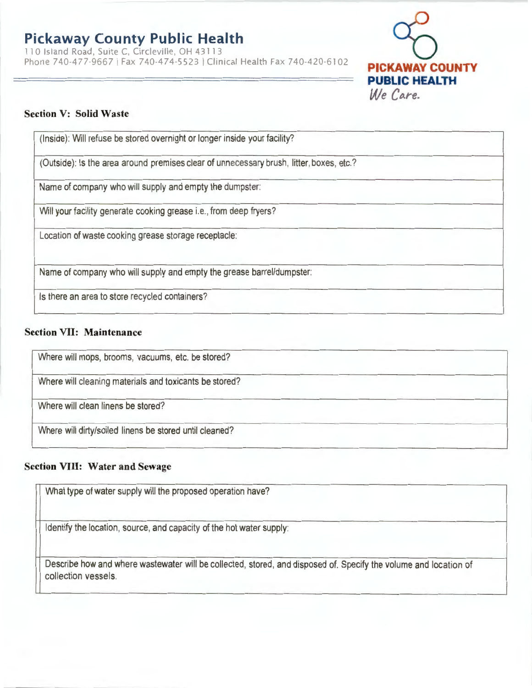110 Island Road, Suite C, Circleville, OH 43113 Phone 740-477-9667 | Fax 740-474-5523 | Clinical Health Fax 740-420-6102



## **Section V: Solid Waste**

(Inside): Will refuse be stored overnight or longer inside your facility?

(Outside): Is the area around premises clear of unnecessary brush, litter, boxes, etc.?

Name of company who will supply and empty the dumpster:

Will your facility generate cooking grease i.e., from deep fryers?

Location of waste cooking grease storage receptacle:

Name of company who will supply and empty the grease barrel/dumpster:

Is there an area to store recycled containers?

## **Section VII: Maintenance**

Where will mops, brooms, vacuums, etc. be stored?

Where will cleaning materials and toxicants be stored?

Where will clean linens be stored?

Where will dirty/soiled linens be stored until cleaned?

# **Section VIII: Water and Sewage**

What type of water supply will the proposed operation have?

Identify the location, source, and capacity of the hot water supply:

Describe how and where wastewater will be collected, stored, and disposed of. Specify the volume and location of collection vessels.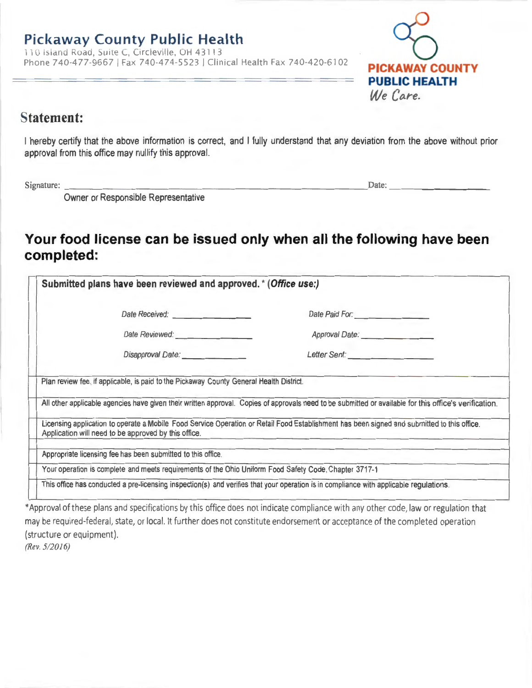110 Island Road, Suite C, Circleville, OH 43113 Phone 740-477-9667 I Fax 740-474-5523 I Clinical Health Fax 740-420-6102



# **Statement:**

I hereby certify that the above information is correct, and I fully understand that any deviation from the above without prior approval from this office may nullify this approval.

Signature: \_\_\_\_\_\_\_\_\_\_\_\_\_\_\_\_\_\_\_\_\_\_\_\_\_\_\_ Date: \_ \_ \_ \_\_\_\_\_ \_

Owner or Responsible Representative

# **Your food license can be issued only when all the following have been completed:**

| Submitted plans have been reviewed and approved. * (Office use:)                                                                                                       |                                                                                                                                                                                                                                                                                                                                                       |
|------------------------------------------------------------------------------------------------------------------------------------------------------------------------|-------------------------------------------------------------------------------------------------------------------------------------------------------------------------------------------------------------------------------------------------------------------------------------------------------------------------------------------------------|
|                                                                                                                                                                        | Date Paid For:                                                                                                                                                                                                                                                                                                                                        |
|                                                                                                                                                                        | Approval Date: <b>Approval Date:</b>                                                                                                                                                                                                                                                                                                                  |
|                                                                                                                                                                        |                                                                                                                                                                                                                                                                                                                                                       |
|                                                                                                                                                                        |                                                                                                                                                                                                                                                                                                                                                       |
|                                                                                                                                                                        |                                                                                                                                                                                                                                                                                                                                                       |
| Application will need to be approved by this office.                                                                                                                   | All other applicable agencies have given their written approval. Copies of approvals need to be submitted or available for this office's verification.<br>Licensing application to operate a Mobile Food Service Operation or Retail Food Establishment has been signed and submitted to this office.<br>after the property company of the company of |
|                                                                                                                                                                        |                                                                                                                                                                                                                                                                                                                                                       |
| Appropriate licensing fee has been submitted to this office.<br>Your operation is complete and meets requirements of the Ohio Uniform Food Safety Code, Chapter 3717-1 |                                                                                                                                                                                                                                                                                                                                                       |

\*Approval of these plans and specifications by this office does not indicate compliance with any other code, law or regulation that may be required-federal, state, or local. It further does not constitute endorsement or acceptance of the completed operation (structure or equipment).

*(Rev. 5/2016)*